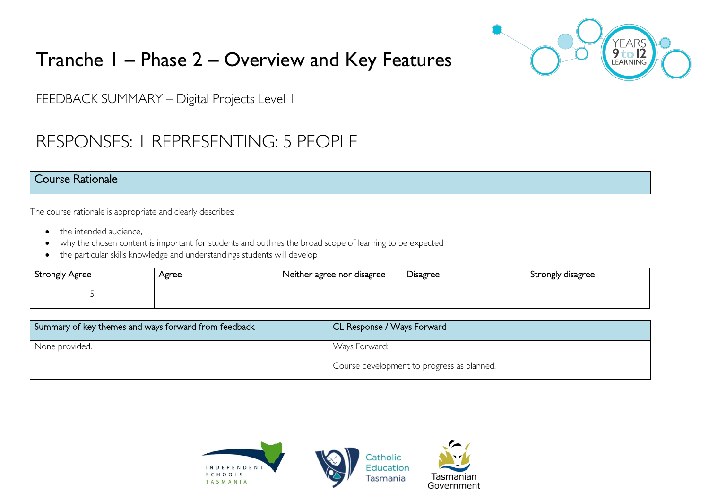

# Tranche 1 – Phase 2 – Overview and Key Features

FEEDBACK SUMMARY – Digital Projects Level 1

# RESPONSES: 1 REPRESENTING: 5 PEOPLE

#### Course Rationale

The course rationale is appropriate and clearly describes:

- the intended audience.
- why the chosen content is important for students and outlines the broad scope of learning to be expected
- the particular skills knowledge and understandings students will develop

| Strongly Agree | Agree | Neither agree nor disagree | Disagree | Strongly disagree |
|----------------|-------|----------------------------|----------|-------------------|
|                |       |                            |          |                   |

| Summary of key themes and ways forward from feedback | CL Response / Ways Forward                 |
|------------------------------------------------------|--------------------------------------------|
| None provided.                                       | Ways Forward:                              |
|                                                      | Course development to progress as planned. |

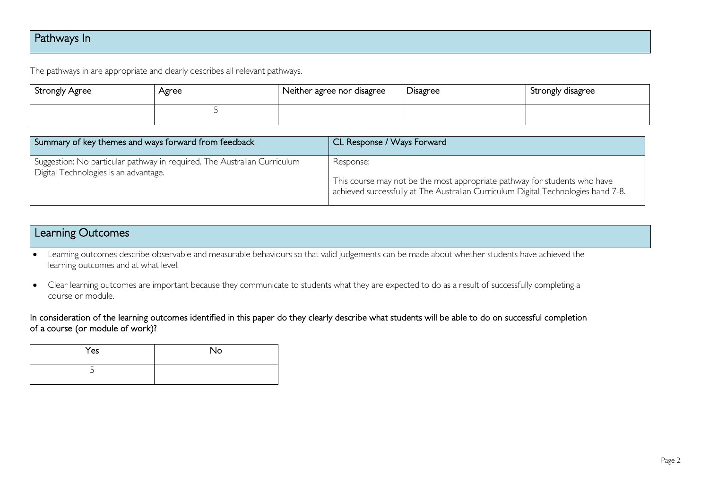## Pathways In

The pathways in are appropriate and clearly describes all relevant pathways.

| Strongly Agree | Agree | Neither agree nor disagree | Disagree | Strongly disagree |
|----------------|-------|----------------------------|----------|-------------------|
|                |       |                            |          |                   |

| Summary of key themes and ways forward from feedback                                                              | CL Response / Ways Forward                                                                                                                                                  |
|-------------------------------------------------------------------------------------------------------------------|-----------------------------------------------------------------------------------------------------------------------------------------------------------------------------|
| Suggestion: No particular pathway in required. The Australian Curriculum<br>Digital Technologies is an advantage. | Response:<br>This course may not be the most appropriate pathway for students who have<br>achieved successfully at The Australian Curriculum Digital Technologies band 7-8. |

### Learning Outcomes

- Learning outcomes describe observable and measurable behaviours so that valid judgements can be made about whether students have achieved the learning outcomes and at what level.
- Clear learning outcomes are important because they communicate to students what they are expected to do as a result of successfully completing a course or module.

#### In consideration of the learning outcomes identified in this paper do they clearly describe what students will be able to do on successful completion of a course (or module of work)?

| Yes | No |
|-----|----|
|     |    |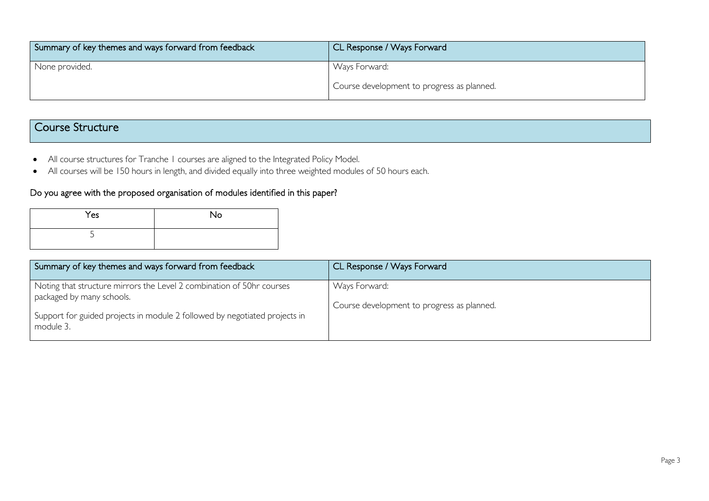| Summary of key themes and ways forward from feedback | CL Response / Ways Forward                 |
|------------------------------------------------------|--------------------------------------------|
| None provided.                                       | Ways Forward:                              |
|                                                      | Course development to progress as planned. |

## Course Structure

- All course structures for Tranche 1 courses are aligned to the Integrated Policy Model.
- All courses will be 150 hours in length, and divided equally into three weighted modules of 50 hours each.

#### Do you agree with the proposed organisation of modules identified in this paper?

| Yes | <b>No</b> |
|-----|-----------|
| ی   |           |

| Summary of key themes and ways forward from feedback                                                                                                                                          | CL Response / Ways Forward                                  |
|-----------------------------------------------------------------------------------------------------------------------------------------------------------------------------------------------|-------------------------------------------------------------|
| Noting that structure mirrors the Level 2 combination of 50hr courses<br>packaged by many schools.<br>Support for guided projects in module 2 followed by negotiated projects in<br>module 3. | Ways Forward:<br>Course development to progress as planned. |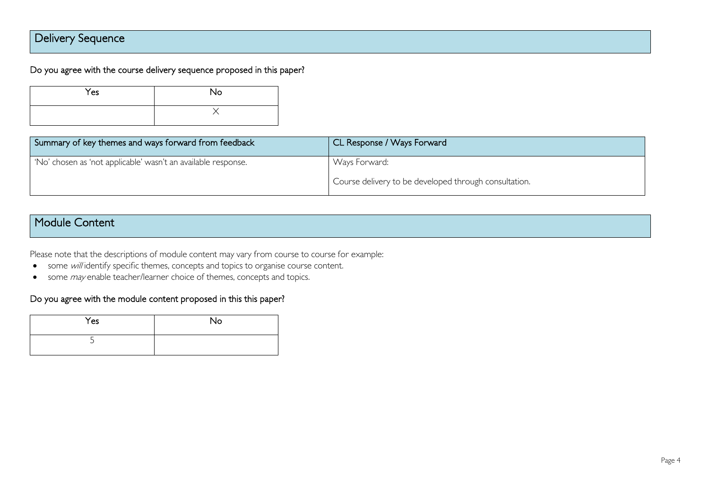# Delivery Sequence

#### Do you agree with the course delivery sequence proposed in this paper?

| Yes | <b>No</b> |
|-----|-----------|
|     |           |

| Summary of key themes and ways forward from feedback          | CL Response / Ways Forward                            |
|---------------------------------------------------------------|-------------------------------------------------------|
| 'No' chosen as 'not applicable' wasn't an available response. | Ways Forward:                                         |
|                                                               | Course delivery to be developed through consultation. |

### Module Content

Please note that the descriptions of module content may vary from course to course for example:

- some will identify specific themes, concepts and topics to organise course content.
- some *may* enable teacher/learner choice of themes, concepts and topics.

#### Do you agree with the module content proposed in this this paper?

| Yes | No |
|-----|----|
| -   |    |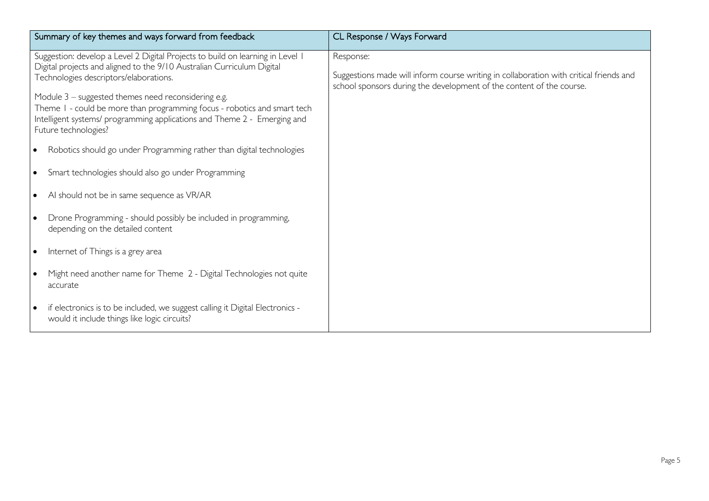| Summary of key themes and ways forward from feedback                                                                                                                                                                                                                                                                                                                                                                                     | CL Response / Ways Forward                                                                                                                                                  |
|------------------------------------------------------------------------------------------------------------------------------------------------------------------------------------------------------------------------------------------------------------------------------------------------------------------------------------------------------------------------------------------------------------------------------------------|-----------------------------------------------------------------------------------------------------------------------------------------------------------------------------|
| Suggestion: develop a Level 2 Digital Projects to build on learning in Level 1<br>Digital projects and aligned to the 9/10 Australian Curriculum Digital<br>Technologies descriptors/elaborations.<br>Module 3 – suggested themes need reconsidering e.g.<br>Theme I - could be more than programming focus - robotics and smart tech<br>Intelligent systems/programming applications and Theme 2 - Emerging and<br>Future technologies? | Response:<br>Suggestions made will inform course writing in collaboration with critical friends and<br>school sponsors during the development of the content of the course. |
| Robotics should go under Programming rather than digital technologies<br>$\bullet$                                                                                                                                                                                                                                                                                                                                                       |                                                                                                                                                                             |
| Smart technologies should also go under Programming                                                                                                                                                                                                                                                                                                                                                                                      |                                                                                                                                                                             |
| Al should not be in same sequence as VR/AR<br>$\bullet$                                                                                                                                                                                                                                                                                                                                                                                  |                                                                                                                                                                             |
| Drone Programming - should possibly be included in programming,<br>depending on the detailed content                                                                                                                                                                                                                                                                                                                                     |                                                                                                                                                                             |
| Internet of Things is a grey area<br>$\bullet$                                                                                                                                                                                                                                                                                                                                                                                           |                                                                                                                                                                             |
| Might need another name for Theme 2 - Digital Technologies not quite<br>$\bullet$<br>accurate                                                                                                                                                                                                                                                                                                                                            |                                                                                                                                                                             |
| if electronics is to be included, we suggest calling it Digital Electronics -<br>would it include things like logic circuits?                                                                                                                                                                                                                                                                                                            |                                                                                                                                                                             |